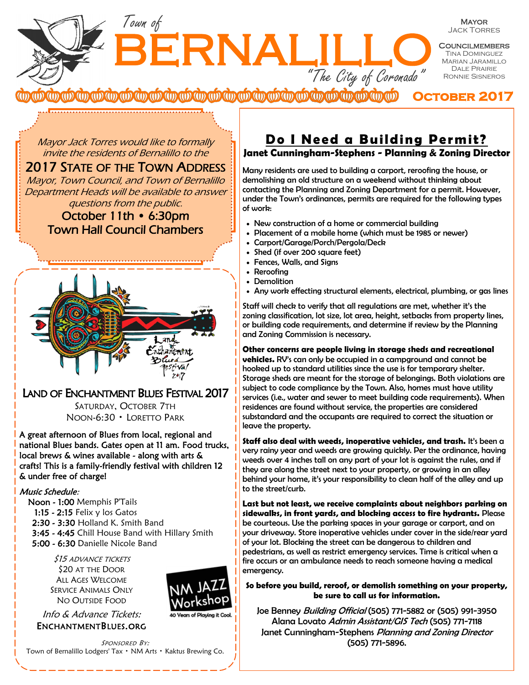BERNALILI Town of "The City of Coronado"

Mayor Jack Torres

**COUNCILMEMBERS TINA DOMINGUEZ** Marian Jaramillo Dale Prairie Ronnie Sisneros

<del>൜ൕൕൕൕൕൕൕൕൕൕൕൕൕൕൕൕൕൕൕൕൕൕൕൕൕൕൕ</del>ൕ **October 2017** 

Mayor Jack Torres would like to formally invite the residents of Bernalillo to the

2017 STATE OF THE TOWN ADDRESS Mayor, Town Council, and Town of Bernalillo Department Heads will be available to answer questions from the public.

October 11th • 6:30pm Town Hall Council Chambers



# LAND OF ENCHANTMENT BLUES FESTIVAL 2017

SATURDAY, OCTOBER 7TH NOON-6:30 • LORETTO PARK

A great afternoon of Blues from local, regional and national Blues bands. Gates open at 11 am. Food trucks, local brews & wines available - along with arts & crafts! This is a family-friendly festival with children 12 & under free of charge!

#### Music Schedule:

- Noon 1:00 Memphis P'Tails
	- 1:15 2:15 Felix y los Gatos
- 2:30 3:30 Holland K. Smith Band
- 3:45 4:45 Chill House Band with Hillary Smith
- 5:00 6:30 Danielle Nicole Band

\$15 ADVANCE TICKETS \$20 AT THE DOOR ALL AGES WELCOME SERVICE ANIMALS ONLY NO OUTSIDE FOOD

Info & Advance Tickets: ENCHANTMENTBLUES.ORG



Vears of Plavina it Cor

SPONSORED BY: Town of Bernalillo Lodgers' Tax • NM Arts • Kaktus Brewing Co.

## **Do I Need a Building Permit? Janet Cunningham-Stephens - Planning & Zoning Director**

Many residents are used to building a carport, reroofing the house, or demolishing an old structure on a weekend without thinking about contacting the Planning and Zoning Department for a permit. However, under the Town's ordinances, permits are required for the following types of work:

- New construction of a home or commercial building
- Placement of a mobile home (which must be 1985 or newer)
- Carport/Garage/Porch/Pergola/Deck
- Shed (if over 200 square feet)
- Fences, Walls, and Signs
- Reroofing
- Demolition
- Any work effecting structural elements, electrical, plumbing, or gas lines

Staff will check to verify that all regulations are met, whether it's the zoning classification, lot size, lot area, height, setbacks from property lines, or building code requirements, and determine if review by the Planning and Zoning Commission is necessary.

**Other concerns are people living in storage sheds and recreational vehicles.** RV's can only be occupied in a campground and cannot be hooked up to standard utilities since the use is for temporary shelter. Storage sheds are meant for the storage of belongings. Both violations are subject to code compliance by the Town. Also, homes must have utility services (i.e., water and sewer to meet building code requirements). When residences are found without service, the properties are considered substandard and the occupants are required to correct the situation or leave the property.

**Staff also deal with weeds, inoperative vehicles, and trash.** It's been a very rainy year and weeds are growing quickly. Per the ordinance, having weeds over 4 inches tall on any part of your lot is against the rules, and if they are along the street next to your property, or growing in an alley behind your home, it's your responsibility to clean half of the alley and up to the street/curb.

**Last but not least, we receive complaints about neighbors parking on sidewalks, in front yards, and blocking access to fire hydrants.** Please be courteous. Use the parking spaces in your garage or carport, and on your driveway. Store inoperative vehicles under cover in the side/rear yard of your lot. Blocking the street can be dangerous to children and pedestrians, as well as restrict emergency services. Time is critical when a fire occurs or an ambulance needs to reach someone having a medical emergency.

**So before you build, reroof, or demolish something on your property, be sure to call us for information.** 

Joe Benney Building Official (505) 771-5882 or (505) 991-3950 Alana Lovato Admin Assistant/GIS Tech (505) 771-7118 Janet Cunningham-Stephens Planning and Zoning Director (505) 771-5896.